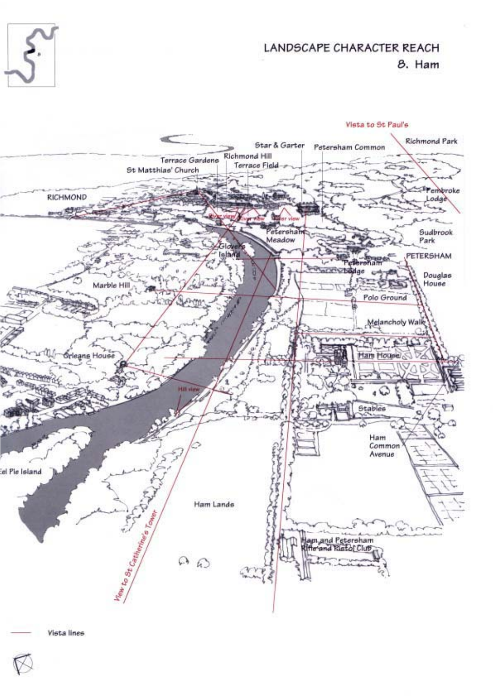LANDSCAPE CHARACTER REACH

8. Ham



# Vista to St Paul's Richmond Park Star & Garter Petersham Common Richmond Hill Terrace Gardens Terrace Field **St Matthias' Church** ÷  $\frac{1}{2}$ Ξ Pembroke **RICHMOND** Lodge 燃 Ъż etershaf **Sudbrook** Meadow Park  $G$   $\sigma$ leland **PETERSHAM** ae Douglas Marble Hill House Polo Ground Melancholy Walk Orleans House Ham House **Stables** Ham Common Avenue el Pie Island Ham Lands **Van to St Catherine's Law** am and Petersham<br>|fle and Ristol Club  $A$

Vista lines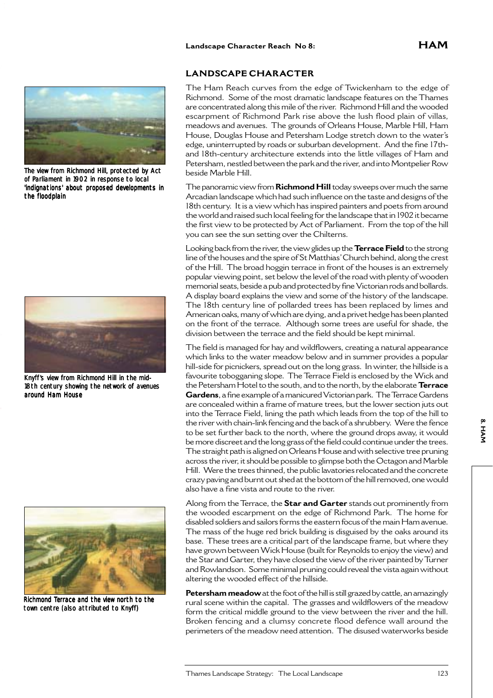

The view from Richmond Hill, protected by Act of Parliament in 1902 in response to local 'indignations' about proposed developments in the floodplain



Knyff's view from Richmond Hill in the mid-18th century showing the network of avenues around Ham House



Richmond Terrace and the view north to the town centre (also attributed to Knyff)

## **LANDSCAPE CHARACTER**

The Ham Reach curves from the edge of Twickenham to the edge of Richmond. Some of the most dramatic landscape features on the Thames are concentrated along this mile of the river. Richmond Hill and the wooded escarpment of Richmond Park rise above the lush flood plain of villas, meadows and avenues. The grounds of Orleans House, Marble Hill, Ham House, Douglas House and Petersham Lodge stretch down to the water's edge, uninterrupted by roads or suburban development. And the fine 17thand 18th-century architecture extends into the little villages of Ham and Petersham, nestled between the park and the river, and into Montpelier Row beside Marble Hill.

The panoramic view from **Richmond Hill** today sweeps over much the same Arcadian landscape which had such influence on the taste and designs of the 18th century. It is a view which has inspired painters and poets from around the world and raised such local feeling for the landscape that in 1902 it became the first view to be protected by Act of Parliament. From the top of the hill you can see the sun setting over the Chilterns.

Looking back from the river, the view glides up the **Terrace Field** to the strong line of the houses and the spire of St Matthias' Church behind, along the crest of the Hill. The broad hoggin terrace in front of the houses is an extremely popular viewing point, set below the level of the road with plenty of wooden memorial seats, beside a pub and protected by fine Victorian rods and bollards. A display board explains the view and some of the history of the landscape. The 18th century line of pollarded trees has been replaced by limes and American oaks, many of which are dying, and a privet hedge has been planted on the front of the terrace. Although some trees are useful for shade, the division between the terrace and the field should be kept minimal.

The field is managed for hay and wildflowers, creating a natural appearance which links to the water meadow below and in summer provides a popular hill-side for picnickers, spread out on the long grass. In winter, the hillside is a favourite tobogganing slope. The Terrace Field is enclosed by the Wick and the Petersham Hotel to the south, and to the north, by the elaborate **Terrace Gardens**, a fine example of a manicured Victorian park. The Terrace Gardens are concealed within a frame of mature trees, but the lower section juts out into the Terrace Field, lining the path which leads from the top of the hill to the river with chain-link fencing and the back of a shrubbery. Were the fence to be set further back to the north, where the ground drops away, it would be more discreet and the long grass of the field could continue under the trees. The straight path is aligned on Orleans House and with selective tree pruning across the river, it should be possible to glimpse both the Octagon and Marble Hill. Were the trees thinned, the public lavatories relocated and the concrete crazy paving and burnt out shed at the bottom of the hill removed, one would also have a fine vista and route to the river.

Along from the Terrace, the **Star and Garter** stands out prominently from the wooded escarpment on the edge of Richmond Park. The home for disabled soldiers and sailors forms the eastern focus of the main Ham avenue. The mass of the huge red brick building is disguised by the oaks around its base. These trees are a critical part of the landscape frame, but where they have grown between Wick House (built for Reynolds to enjoy the view) and the Star and Garter, they have closed the view of the river painted by Turner and Rowlandson. Some minimal pruning could reveal the vista again without altering the wooded effect of the hillside.

**Petersham meadow** at the foot of the hill is still grazed by cattle, an amazingly rural scene within the capital. The grasses and wildflowers of the meadow form the critical middle ground to the view between the river and the hill. Broken fencing and a clumsy concrete flood defence wall around the perimeters of the meadow need attention. The disused waterworks beside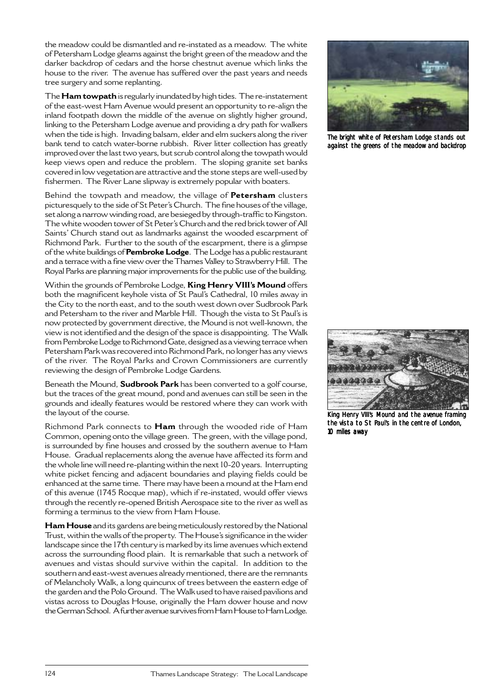the meadow could be dismantled and re-instated as a meadow. The white of Petersham Lodge gleams against the bright green of the meadow and the darker backdrop of cedars and the horse chestnut avenue which links the house to the river. The avenue has suffered over the past years and needs tree surgery and some replanting.

The **Ham towpath** is regularly inundated by high tides. The re-instatement of the east-west Ham Avenue would present an opportunity to re-align the inland footpath down the middle of the avenue on slightly higher ground, linking to the Petersham Lodge avenue and providing a dry path for walkers when the tide is high. Invading balsam, elder and elm suckers along the river bank tend to catch water-borne rubbish. River litter collection has greatly improved over the last two years, but scrub control along the towpath would keep views open and reduce the problem. The sloping granite set banks covered in low vegetation are attractive and the stone steps are well-used by fishermen. The River Lane slipway is extremely popular with boaters.

Behind the towpath and meadow, the village of **Petersham** clusters picturesquely to the side of St Peter's Church. The fine houses of the village, set along a narrow winding road, are besieged by through-traffic to Kingston. The white wooden tower of St Peter's Church and the red brick tower of All Saints' Church stand out as landmarks against the wooded escarpment of Richmond Park. Further to the south of the escarpment, there is a glimpse of the white buildings of **Pembroke Lodge**. The Lodge has a public restaurant and a terrace with a fine view over the Thames Valley to Strawberry Hill. The Royal Parks are planning major improvements for the public use of the building.

Within the grounds of Pembroke Lodge, **King Henry VIII's Mound** offers both the magnificent keyhole vista of St Paul's Cathedral, 10 miles away in the City to the north east, and to the south west down over Sudbrook Park and Petersham to the river and Marble Hill. Though the vista to St Paul's is now protected by government directive, the Mound is not well-known, the view is not identified and the design of the space is disappointing. The Walk from Pembroke Lodge to Richmond Gate, designed as a viewing terrace when Petersham Park was recovered into Richmond Park, no longer has any views of the river. The Royal Parks and Crown Commissioners are currently reviewing the design of Pembroke Lodge Gardens.

Beneath the Mound, **Sudbrook Park** has been converted to a golf course, but the traces of the great mound, pond and avenues can still be seen in the grounds and ideally features would be restored where they can work with the layout of the course.

Richmond Park connects to **Ham** through the wooded ride of Ham Common, opening onto the village green. The green, with the village pond, is surrounded by fine houses and crossed by the southern avenue to Ham House. Gradual replacements along the avenue have affected its form and the whole line will need re-planting within the next 10-20 years. Interrupting white picket fencing and adjacent boundaries and playing fields could be enhanced at the same time. There may have been a mound at the Ham end of this avenue (1745 Rocque map), which if re-instated, would offer views through the recently re-opened British Aerospace site to the river as well as forming a terminus to the view from Ham House.

**Ham House** and its gardens are being meticulously restored by the National Trust, within the walls of the property. The House's significance in the wider landscape since the 17th century is marked by its lime avenues which extend across the surrounding flood plain. It is remarkable that such a network of avenues and vistas should survive within the capital. In addition to the southern and east-west avenues already mentioned, there are the remnants of Melancholy Walk, a long quincunx of trees between the eastern edge of the garden and the Polo Ground. The Walk used to have raised pavilions and vistas across to Douglas House, originally the Ham dower house and now the German School. A further avenue survives from Ham House to Ham Lodge.



The bright white of Petersham Lodge stands out against the greens of the meadow and backdrop



King Henry VIII's Mound and the avenue framing the vista to St Paul's in the centre of London, 10 miles away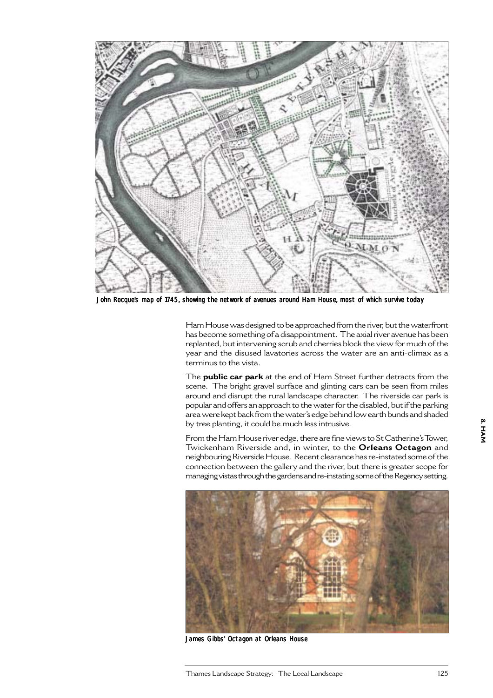

John Rocque's map of 1745, showing the network of avenues around Ham House, most of which survive today

Ham House was designed to be approached from the river, but the waterfront has become something of a disappointment. The axial river avenue has been replanted, but intervening scrub and cherries block the view for much of the year and the disused lavatories across the water are an anti-climax as a terminus to the vista.

The **public car park** at the end of Ham Street further detracts from the scene. The bright gravel surface and glinting cars can be seen from miles around and disrupt the rural landscape character. The riverside car park is popular and offers an approach to the water for the disabled, but if the parking area were kept back from the water's edge behind low earth bunds and shaded by tree planting, it could be much less intrusive.

From the Ham House river edge, there are fine views to St Catherine's Tower, Twickenham Riverside and, in winter, to the **Orleans Octagon** and neighbouring Riverside House. Recent clearance has re-instated some of the connection between the gallery and the river, but there is greater scope for managing vistas through the gardens and re-instating some of the Regency setting.



James Gibbs' Octagon at Orleans House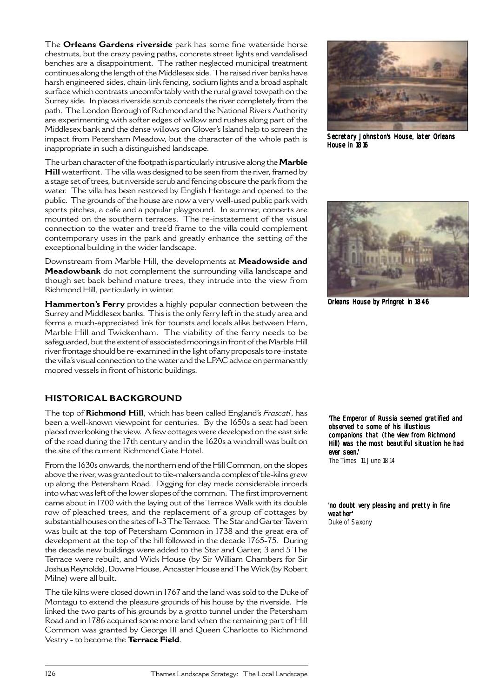The **Orleans Gardens riverside** park has some fine waterside horse chestnuts, but the crazy paving paths, concrete street lights and vandalised benches are a disappointment. The rather neglected municipal treatment continues along the length of the Middlesex side. The raised river banks have harsh engineered sides, chain-link fencing, sodium lights and a broad asphalt surface which contrasts uncomfortably with the rural gravel towpath on the Surrey side. In places riverside scrub conceals the river completely from the path. The London Borough of Richmond and the National Rivers Authority are experimenting with softer edges of willow and rushes along part of the Middlesex bank and the dense willows on Glover's Island help to screen the impact from Petersham Meadow, but the character of the whole path is inappropriate in such a distinguished landscape.

The urban character of the footpath is particularly intrusive along the **Marble Hill** waterfront. The villa was designed to be seen from the river, framed by a stage set of trees, but riverside scrub and fencing obscure the park from the water. The villa has been restored by English Heritage and opened to the public. The grounds of the house are now a very well-used public park with sports pitches, a cafe and a popular playground. In summer, concerts are mounted on the southern terraces. The re-instatement of the visual connection to the water and tree'd frame to the villa could complement contemporary uses in the park and greatly enhance the setting of the exceptional building in the wider landscape.

Downstream from Marble Hill, the developments at **Meadowside and Meadowbank** do not complement the surrounding villa landscape and though set back behind mature trees, they intrude into the view from Richmond Hill, particularly in winter.

**Hammerton's Ferry** provides a highly popular connection between the Surrey and Middlesex banks. This is the only ferry left in the study area and forms a much-appreciated link for tourists and locals alike between Ham, Marble Hill and Twickenham. The viability of the ferry needs to be safeguarded, but the extent of associated moorings in front of the Marble Hill river frontage should be re-examined in the light of any proposals to re-instate the villa's visual connection to the water and the LPAC advice on permanently moored vessels in front of historic buildings.

## **HISTORICAL BACKGROUND**

The top of **Richmond Hill**, which has been called England's *Frascati*, has been a well-known viewpoint for centuries. By the 1650s a seat had been placed overlooking the view. A few cottages were developed on the east side of the road during the 17th century and in the 1620s a windmill was built on the site of the current Richmond Gate Hotel.

From the 1630s onwards, the northern end of the Hill Common, on the slopes above the river, was granted out to tile-makers and a complex of tile-kilns grew up along the Petersham Road. Digging for clay made considerable inroads into what was left of the lower slopes of the common. The first improvement came about in 1700 with the laying out of the Terrace Walk with its double row of pleached trees, and the replacement of a group of cottages by substantial houses on the sites of 1-3 The Terrace. The Star and Garter Tavern was built at the top of Petersham Common in 1738 and the great era of development at the top of the hill followed in the decade 1765-75. During the decade new buildings were added to the Star and Garter, 3 and 5 The Terrace were rebuilt, and Wick House (by Sir William Chambers for Sir Joshua Reynolds), Downe House, Ancaster House and The Wick (by Robert Milne) were all built.

The tile kilns were closed down in 1767 and the land was sold to the Duke of Montagu to extend the pleasure grounds of his house by the riverside. He linked the two parts of his grounds by a grotto tunnel under the Petersham Road and in 1786 acquired some more land when the remaining part of Hill Common was granted by George III and Queen Charlotte to Richmond Vestry - to become the **Terrace Field**.



Secretary Johnston's House, later Orleans House in 1816



Orleans House by Pringret in 1846

'The Emperor of Russia seemed gratified and observed to some of his illustious companions that (the view from Richmond Hill) was the most beautiful situation he had ever seen.' The Times 11 June 1814

'no doubt very pleasing and pretty in fine weather' Duke of Saxony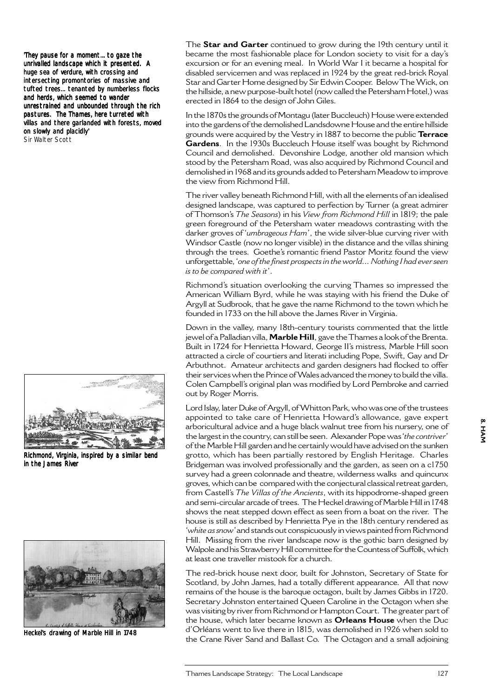'They pause for a moment... to gaze the unrivalled landscape which it presented. A huge sea of verdure, with crossing and intersecting promontories of massive and tufted trees... tenanted by numberless flocks and herds, which seemed to wander unrestrained and unbounded through the rich pastures. The Thames, here turreted with villas and there garlanded with forests, moved on slowly and placidly'

Sir Walter Scott



Richmond, Virginia, inspired by a similar bend in the James River



Heckel's drawing of Marble Hill in 1748

The **Star and Garter** continued to grow during the 19th century until it became the most fashionable place for London society to visit for a day's excursion or for an evening meal. In World War I it became a hospital for disabled servicemen and was replaced in 1924 by the great red-brick Royal Star and Garter Home designed by Sir Edwin Cooper. Below The Wick, on the hillside, a new purpose-built hotel (now called the Petersham Hotel,) was erected in 1864 to the design of John Giles.

In the 1870s the grounds of Montagu (later Buccleuch) House were extended into the gardens of the demolished Landsdowne House and the entire hillside grounds were acquired by the Vestry in 1887 to become the public **Terrace Gardens**. In the 1930s Buccleuch House itself was bought by Richmond Council and demolished. Devonshire Lodge, another old mansion which stood by the Petersham Road, was also acquired by Richmond Council and demolished in 1968 and its grounds added to Petersham Meadow to improve the view from Richmond Hill.

The river valley beneath Richmond Hill, with all the elements of an idealised designed landscape, was captured to perfection by Turner (a great admirer of Thomson's *The Seasons*) in his *View from Richmond Hill* in 1819; the pale green foreground of the Petersham water meadows contrasting with the darker groves of '*umbrageous Ham*', the wide silver-blue curving river with Windsor Castle (now no longer visible) in the distance and the villas shining through the trees. Goethe's romantic friend Pastor Moritz found the view unforgettable, '*one of the finest prospects in the world... Nothing I had ever seen is to be compared with it*'.

Richmond's situation overlooking the curving Thames so impressed the American William Byrd, while he was staying with his friend the Duke of Argyll at Sudbrook, that he gave the name Richmond to the town which he founded in 1733 on the hill above the James River in Virginia.

Down in the valley, many 18th-century tourists commented that the little jewel of a Palladian villa, **Marble Hill**, gave the Thames a look of the Brenta. Built in 1724 for Henrietta Howard, George II's mistress, Marble Hill soon attracted a circle of courtiers and literati including Pope, Swift, Gay and Dr Arbuthnot. Amateur architects and garden designers had flocked to offer their services when the Prince of Wales advanced the money to build the villa. Colen Campbell's original plan was modified by Lord Pembroke and carried out by Roger Morris.

Lord Islay, later Duke of Argyll, of Whitton Park, who was one of the trustees appointed to take care of Henrietta Howard's allowance, gave expert arboricultural advice and a huge black walnut tree from his nursery, one of the largest in the country, can still be seen. Alexander Pope was '*the contriver*' of the Marble Hill garden and he certainly would have advised on the sunken grotto, which has been partially restored by English Heritage. Charles Bridgeman was involved professionally and the garden, as seen on a c1750 survey had a green colonnade and theatre, wilderness walks and quincunx groves, which can be compared with the conjectural classical retreat garden, from Castell's *The Villas of the Ancients*, with its hippodrome-shaped green and semi-circular arcade of trees. The Heckel drawing of Marble Hill in 1748 shows the neat stepped down effect as seen from a boat on the river. The house is still as described by Henrietta Pye in the 18th century rendered as '*white as snow*' and stands out conspicuously in views painted from Richmond Hill. Missing from the river landscape now is the gothic barn designed by Walpole and his Strawberry Hill committee for the Countess of Suffolk, which at least one traveller mistook for a church.

The red-brick house next door, built for Johnston, Secretary of State for Scotland, by John James, had a totally different appearance. All that now remains of the house is the baroque octagon, built by James Gibbs in 1720. Secretary Johnston entertained Queen Caroline in the Octagon when she was visiting by river from Richmond or Hampton Court. The greater part of the house, which later became known as **Orleans House** when the Duc d'Orléans went to live there in 1815, was demolished in 1926 when sold to the Crane River Sand and Ballast Co. The Octagon and a small adjoining **8. HAM**

**HAM**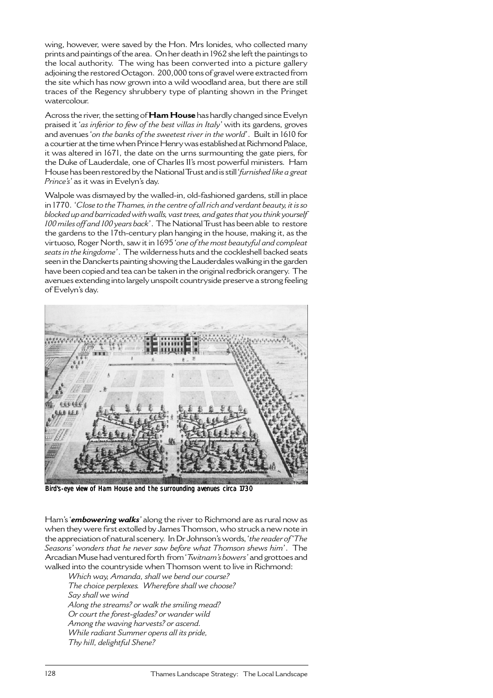wing, however, were saved by the Hon. Mrs Ionides, who collected many prints and paintings of the area. On her death in 1962 she left the paintings to the local authority. The wing has been converted into a picture gallery adjoining the restored Octagon. 200,000 tons of gravel were extracted from the site which has now grown into a wild woodland area, but there are still traces of the Regency shrubbery type of planting shown in the Pringet watercolour.

Across the river, the setting of **Ham House** has hardly changed since Evelyn praised it '*as inferior to few of the best villas in Italy*' with its gardens, groves and avenues '*on the banks of the sweetest river in the world*'. Built in 1610 for a courtier at the time when Prince Henry was established at Richmond Palace, it was altered in 1671, the date on the urns surmounting the gate piers, for the Duke of Lauderdale, one of Charles II's most powerful ministers. Ham House has been restored by the National Trust and is still '*furnished like a great Prince's*' as it was in Evelyn's day.

Walpole was dismayed by the walled-in, old-fashioned gardens, still in place in 1770. '*Close to the Thames, in the centre of all rich and verdant beauty, it is so blocked up and barricaded with walls, vast trees, and gates that you think yourself 100 miles off and 100 years back*'. The National Trust has been able to restore the gardens to the 17th-century plan hanging in the house, making it, as the virtuoso, Roger North, saw it in 1695 '*one of the most beautyful and compleat seats in the kingdome*'. The wilderness huts and the cockleshell backed seats seen in the Danckerts painting showing the Lauderdales walking in the garden have been copied and tea can be taken in the original redbrick orangery. The avenues extending into largely unspoilt countryside preserve a strong feeling of Evelyn's day.



Bird's-eye view of Ham House and the surrounding avenues circa 1730

Ham's '*embowering walks*' along the river to Richmond are as rural now as when they were first extolled by James Thomson, who struck a new note in the appreciation of natural scenery. In Dr Johnson's words, '*the reader of 'The Seasons' wonders that he never saw before what Thomson shews him*'. The Arcadian Muse had ventured forth from '*Twitnam's bowers'* and grottoes and walked into the countryside when Thomson went to live in Richmond:

*Which way, Amanda, shall we bend our course? The choice perplexes. Wherefore shall we choose? Say shall we wind Along the streams? or walk the smiling mead? Or court the forest-glades? or wander wild Among the waving harvests? or ascend. While radiant Summer opens all its pride, Thy hill, delightful Shene?*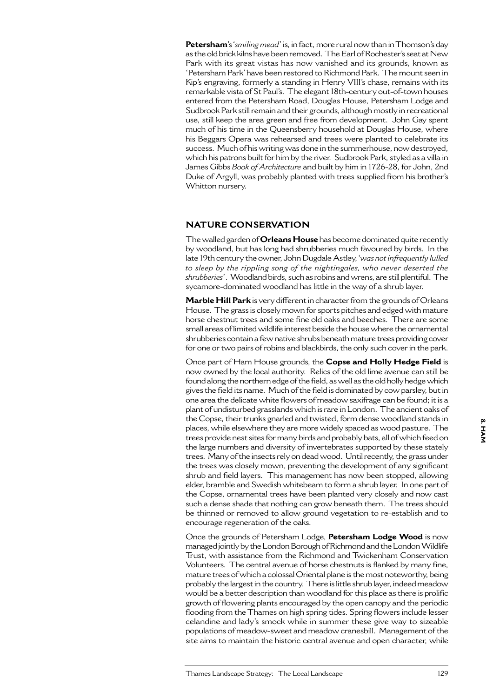**Petersham**'s '*smiling mead'* is, in fact, more rural now than in Thomson's day as the old brick kilns have been removed. The Earl of Rochester's seat at New Park with its great vistas has now vanished and its grounds, known as 'Petersham Park' have been restored to Richmond Park. The mount seen in Kip's engraving, formerly a standing in Henry VIII's chase, remains with its remarkable vista of St Paul's. The elegant 18th-century out-of-town houses entered from the Petersham Road, Douglas House, Petersham Lodge and Sudbrook Park still remain and their grounds, although mostly in recreational use, still keep the area green and free from development. John Gay spent much of his time in the Queensberry household at Douglas House, where his Beggars Opera was rehearsed and trees were planted to celebrate its success. Much of his writing was done in the summerhouse, now destroyed, which his patrons built for him by the river. Sudbrook Park, styled as a villa in James Gibbs *Book of Architecture* and built by him in 1726-28, for John, 2nd Duke of Argyll, was probably planted with trees supplied from his brother's Whitton nursery.

## **NATURE CONSERVATION**

The walled garden of **Orleans House** has become dominated quite recently by woodland, but has long had shrubberies much favoured by birds. In the late 19th century the owner, John Dugdale Astley, '*was not infrequently lulled to sleep by the rippling song of the nightingales, who never deserted the shrubberies*'. Woodland birds, such as robins and wrens, are still plentiful. The sycamore-dominated woodland has little in the way of a shrub layer.

**Marble Hill Park** is very different in character from the grounds of Orleans House. The grass is closely mown for sports pitches and edged with mature horse chestnut trees and some fine old oaks and beeches. There are some small areas of limited wildlife interest beside the house where the ornamental shrubberies contain a few native shrubs beneath mature trees providing cover for one or two pairs of robins and blackbirds, the only such cover in the park.

Once part of Ham House grounds, the **Copse and Holly Hedge Field** is now owned by the local authority. Relics of the old lime avenue can still be found along the northern edge of the field, as well as the old holly hedge which gives the field its name. Much of the field is dominated by cow parsley, but in one area the delicate white flowers of meadow saxifrage can be found; it is a plant of undisturbed grasslands which is rare in London. The ancient oaks of the Copse, their trunks gnarled and twisted, form dense woodland stands in places, while elsewhere they are more widely spaced as wood pasture. The trees provide nest sites for many birds and probably bats, all of which feed on the large numbers and diversity of invertebrates supported by these stately trees. Many of the insects rely on dead wood. Until recently, the grass under the trees was closely mown, preventing the development of any significant shrub and field layers. This management has now been stopped, allowing elder, bramble and Swedish whitebeam to form a shrub layer. In one part of the Copse, ornamental trees have been planted very closely and now cast such a dense shade that nothing can grow beneath them. The trees should be thinned or removed to allow ground vegetation to re-establish and to encourage regeneration of the oaks.

Once the grounds of Petersham Lodge, **Petersham Lodge Wood** is now managed jointly by the London Borough of Richmond and the London Wildlife Trust, with assistance from the Richmond and Twickenham Conservation Volunteers. The central avenue of horse chestnuts is flanked by many fine, mature trees of which a colossal Oriental plane is the most noteworthy, being probably the largest in the country. There is little shrub layer, indeed meadow would be a better description than woodland for this place as there is prolific growth of flowering plants encouraged by the open canopy and the periodic flooding from the Thames on high spring tides. Spring flowers include lesser celandine and lady's smock while in summer these give way to sizeable populations of meadow-sweet and meadow cranesbill. Management of the site aims to maintain the historic central avenue and open character, while

**8. HAM**

**HAM**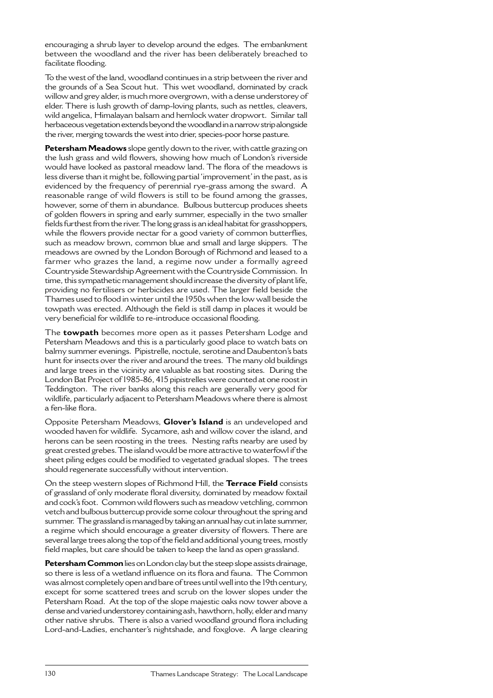encouraging a shrub layer to develop around the edges. The embankment between the woodland and the river has been deliberately breached to facilitate flooding.

To the west of the land, woodland continues in a strip between the river and the grounds of a Sea Scout hut. This wet woodland, dominated by crack willow and grey alder, is much more overgrown, with a dense understorey of elder. There is lush growth of damp-loving plants, such as nettles, cleavers, wild angelica, Himalayan balsam and hemlock water dropwort. Similar tall herbaceous vegetation extends beyond the woodland in a narrow strip alongside the river, merging towards the west into drier, species-poor horse pasture.

**Petersham Meadows** slope gently down to the river, with cattle grazing on the lush grass and wild flowers, showing how much of London's riverside would have looked as pastoral meadow land. The flora of the meadows is less diverse than it might be, following partial 'improvement' in the past, as is evidenced by the frequency of perennial rye-grass among the sward. A reasonable range of wild flowers is still to be found among the grasses, however, some of them in abundance. Bulbous buttercup produces sheets of golden flowers in spring and early summer, especially in the two smaller fields furthest from the river. The long grass is an ideal habitat for grasshoppers, while the flowers provide nectar for a good variety of common butterflies, such as meadow brown, common blue and small and large skippers. The meadows are owned by the London Borough of Richmond and leased to a farmer who grazes the land, a regime now under a formally agreed Countryside Stewardship Agreement with the Countryside Commission. In time, this sympathetic management should increase the diversity of plant life, providing no fertilisers or herbicides are used. The larger field beside the Thames used to flood in winter until the 1950s when the low wall beside the towpath was erected. Although the field is still damp in places it would be very beneficial for wildlife to re-introduce occasional flooding.

The **towpath** becomes more open as it passes Petersham Lodge and Petersham Meadows and this is a particularly good place to watch bats on balmy summer evenings. Pipistrelle, noctule, serotine and Daubenton's bats hunt for insects over the river and around the trees. The many old buildings and large trees in the vicinity are valuable as bat roosting sites. During the London Bat Project of 1985-86, 415 pipistrelles were counted at one roost in Teddington. The river banks along this reach are generally very good for wildlife, particularly adjacent to Petersham Meadows where there is almost a fen-like flora.

Opposite Petersham Meadows, **Glover's Island** is an undeveloped and wooded haven for wildlife. Sycamore, ash and willow cover the island, and herons can be seen roosting in the trees. Nesting rafts nearby are used by great crested grebes. The island would be more attractive to waterfowl if the sheet piling edges could be modified to vegetated gradual slopes. The trees should regenerate successfully without intervention.

On the steep western slopes of Richmond Hill, the **Terrace Field** consists of grassland of only moderate floral diversity, dominated by meadow foxtail and cock's foot. Common wild flowers such as meadow vetchling, common vetch and bulbous buttercup provide some colour throughout the spring and summer. The grassland is managed by taking an annual hay cut in late summer, a regime which should encourage a greater diversity of flowers. There are several large trees along the top of the field and additional young trees, mostly field maples, but care should be taken to keep the land as open grassland.

**Petersham Common** lies on London clay but the steep slope assists drainage, so there is less of a wetland influence on its flora and fauna. The Common was almost completely open and bare of trees until well into the 19th century, except for some scattered trees and scrub on the lower slopes under the Petersham Road. At the top of the slope majestic oaks now tower above a dense and varied understorey containing ash, hawthorn, holly, elder and many other native shrubs. There is also a varied woodland ground flora including Lord-and-Ladies, enchanter's nightshade, and foxglove. A large clearing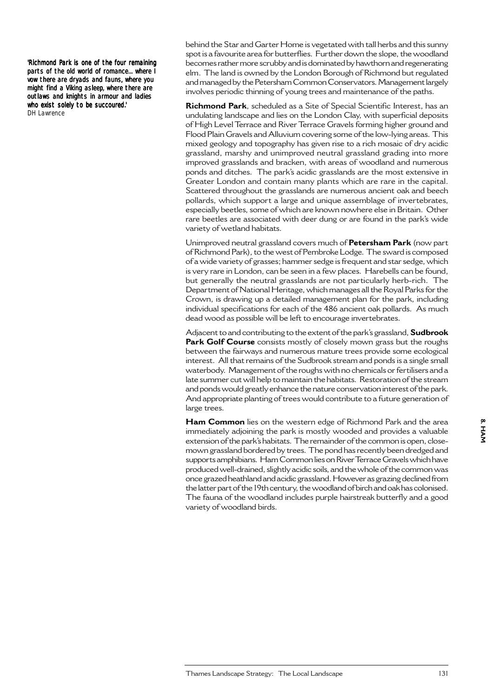'Richmond Park is one of the four remaining parts of the old world of romance... where I vow there are dryads and fauns, where you might find a Viking asleep, where there are outlaws and knights in armour and ladies who exist solely to be succoured.' DH Lawrence

behind the Star and Garter Home is vegetated with tall herbs and this sunny spot is a favourite area for butterflies. Further down the slope, the woodland becomes rather more scrubby and is dominated by hawthorn and regenerating elm. The land is owned by the London Borough of Richmond but regulated and managed by the Petersham Common Conservators. Management largely involves periodic thinning of young trees and maintenance of the paths.

**Richmond Park**, scheduled as a Site of Special Scientific Interest, has an undulating landscape and lies on the London Clay, with superficial deposits of High Level Terrace and River Terrace Gravels forming higher ground and Flood Plain Gravels and Alluvium covering some of the low-lying areas. This mixed geology and topography has given rise to a rich mosaic of dry acidic grassland, marshy and unimproved neutral grassland grading into more improved grasslands and bracken, with areas of woodland and numerous ponds and ditches. The park's acidic grasslands are the most extensive in Greater London and contain many plants which are rare in the capital. Scattered throughout the grasslands are numerous ancient oak and beech pollards, which support a large and unique assemblage of invertebrates, especially beetles, some of which are known nowhere else in Britain. Other rare beetles are associated with deer dung or are found in the park's wide variety of wetland habitats.

Unimproved neutral grassland covers much of **Petersham Park** (now part of Richmond Park), to the west of Pembroke Lodge. The sward is composed of a wide variety of grasses; hammer sedge is frequent and star sedge, which is very rare in London, can be seen in a few places. Harebells can be found, but generally the neutral grasslands are not particularly herb-rich. The Department of National Heritage, which manages all the Royal Parks for the Crown, is drawing up a detailed management plan for the park, including individual specifications for each of the 486 ancient oak pollards. As much dead wood as possible will be left to encourage invertebrates.

Adjacent to and contributing to the extent of the park's grassland, **Sudbrook** Park Golf Course consists mostly of closely mown grass but the roughs between the fairways and numerous mature trees provide some ecological interest. All that remains of the Sudbrook stream and ponds is a single small waterbody. Management of the roughs with no chemicals or fertilisers and a late summer cut will help to maintain the habitats. Restoration of the stream and ponds would greatly enhance the nature conservation interest of the park. And appropriate planting of trees would contribute to a future generation of large trees.

**Ham Common** lies on the western edge of Richmond Park and the area immediately adjoining the park is mostly wooded and provides a valuable extension of the park's habitats. The remainder of the common is open, closemown grassland bordered by trees. The pond has recently been dredged and supports amphibians. Ham Common lies on River Terrace Gravels which have produced well-drained, slightly acidic soils, and the whole of the common was once grazed heathland and acidic grassland. However as grazing declined from the latter part of the 19th century, the woodland of birch and oak has colonised. The fauna of the woodland includes purple hairstreak butterfly and a good variety of woodland birds.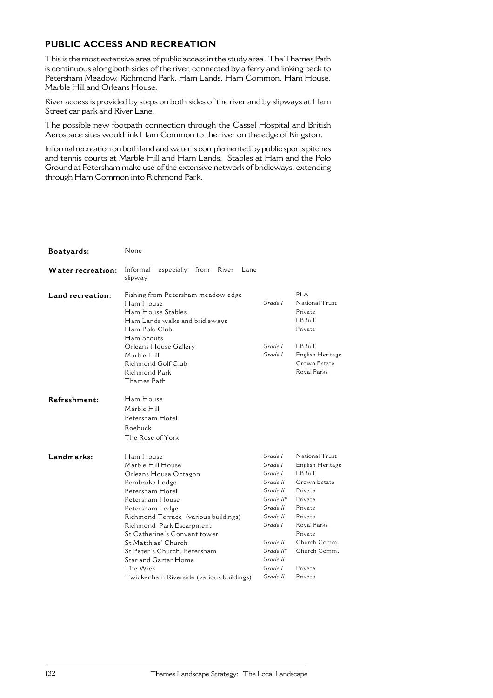## **PUBLIC ACCESS AND RECREATION**

This is the most extensive area of public access in the study area. The Thames Path is continuous along both sides of the river, connected by a ferry and linking back to Petersham Meadow, Richmond Park, Ham Lands, Ham Common, Ham House, Marble Hill and Orleans House.

River access is provided by steps on both sides of the river and by slipways at Ham Street car park and River Lane.

The possible new footpath connection through the Cassel Hospital and British Aerospace sites would link Ham Common to the river on the edge of Kingston.

Informal recreation on both land and water is complemented by public sports pitches and tennis courts at Marble Hill and Ham Lands. Stables at Ham and the Polo Ground at Petersham make use of the extensive network of bridleways, extending through Ham Common into Richmond Park.

| Boatyards:        | None                                                                                                                                                                                                                                                                                                                              |                                                                                                                                                       |                                                                                                                                                                              |
|-------------------|-----------------------------------------------------------------------------------------------------------------------------------------------------------------------------------------------------------------------------------------------------------------------------------------------------------------------------------|-------------------------------------------------------------------------------------------------------------------------------------------------------|------------------------------------------------------------------------------------------------------------------------------------------------------------------------------|
| Water recreation: | Informal<br>especially from River<br>Lane<br>slipway                                                                                                                                                                                                                                                                              |                                                                                                                                                       |                                                                                                                                                                              |
| Land recreation:  | Fishing from Petersham meadow edge<br>Ham House<br>Ham House Stables<br>Ham Lands walks and bridleways<br>Ham Polo Club<br>Ham Scouts                                                                                                                                                                                             | Grade I                                                                                                                                               | <b>PLA</b><br>National Trust<br>Private<br>LBRuT<br>Private                                                                                                                  |
|                   | Orleans House Gallery<br>Marble Hill<br>Richmond Golf Club<br>Richmond Park<br>Thames Path                                                                                                                                                                                                                                        | Grade I<br>Grade I                                                                                                                                    | LBRuT<br>English Heritage<br>Crown Estate<br>Royal Parks                                                                                                                     |
| Refreshment:      | Ham House<br>Marble Hill<br>Petersham Hotel<br>Roebuck<br>The Rose of York                                                                                                                                                                                                                                                        |                                                                                                                                                       |                                                                                                                                                                              |
| Landmarks:        | Ham House<br>Marble Hill House<br>Orleans House Octagon<br>Pembroke Lodge<br>Petersham Hotel<br>Petersham House<br>Petersham Lodge<br>Richmond Terrace (various buildings)<br>Richmond Park Escarpment<br>St Catherine's Convent tower<br>St Matthias' Church<br>St Peter's Church. Petersham<br>Star and Garter Home<br>The Wick | Grade I<br>Grade I<br>Grade I<br>Grade II<br>Grade II<br>Grade II*<br>Grade II<br>Grade II<br>Grade I<br>Grade II<br>Grade II*<br>Grade II<br>Grade L | National Trust<br>English Heritage<br>LBRuT<br>Crown Estate<br>Private<br>Private<br>Private<br>Private<br>Royal Parks<br>Private<br>Church Comm.<br>Church Comm.<br>Private |
|                   | Twickenham Riverside (various buildings)                                                                                                                                                                                                                                                                                          | Grade II                                                                                                                                              | Private                                                                                                                                                                      |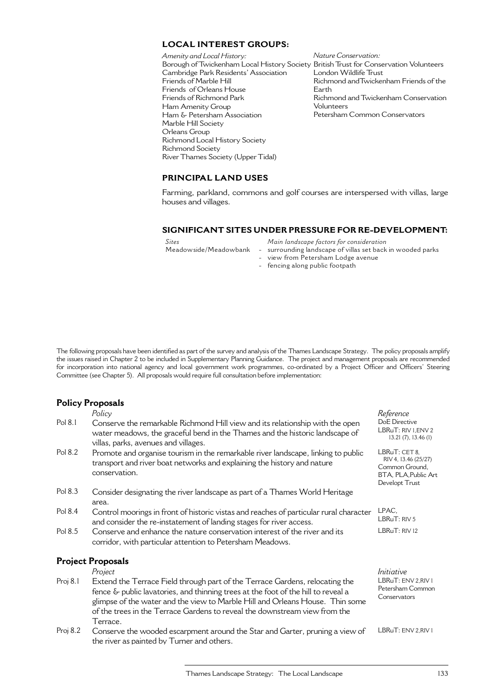## **LOCAL INTEREST GROUPS:**

*Amenity and Local History:* Borough of Twickenham Local History Society British Trust for Conservation Volunteers Cambridge Park Residents' Association Friends of Marble Hill Friends of Orleans House Friends of Richmond Park Ham Amenity Group Ham & Petersham Association Marble Hill Society Orleans Group Richmond Local History Society Richmond Society *Nature Conservation:* London Wildlife Trust Richmond andTwickenham Friends of the Earth Richmond and Twickenham Conservation Volunteers Petersham Common Conservators

## **PRINCIPAL LAND USES**

River Thames Society (Upper Tidal)

Farming, parkland, commons and golf courses are interspersed with villas, large houses and villages.

### **SIGNIFICANT SITES UNDER PRESSURE FOR RE-DEVELOPMENT:**

*Sites Main landscape factors for consideration* Meadowside/Meadowbank surrounding landscape of villas set back in wooded parks view from Petersham Lodge avenue

- fencing along public footpath

The following proposals have been identified as part of the survey and analysis of the Thames Landscape Strategy. The policy proposals amplify the issues raised in Chapter 2 to be included in Supplementary Planning Guidance. The project and management proposals are recommended for incorporation into national agency and local government work programmes, co-ordinated by a Project Officer and Officers' Steering Committee (see Chapter 5). All proposals would require full consultation before implementation:

## **Policy Proposals**

|         | Policy                                                                                                                                                                        | Reference                                                                                         |
|---------|-------------------------------------------------------------------------------------------------------------------------------------------------------------------------------|---------------------------------------------------------------------------------------------------|
| Pol 8.1 | Conserve the remarkable Richmond Hill view and its relationship with the open                                                                                                 | DoE Directive                                                                                     |
|         | water meadows, the graceful bend in the Thames and the historic landscape of<br>villas, parks, avenues and villages.                                                          | LBRuT: RIV I.ENV 2<br>13.21 (7), 13.46 (1)                                                        |
| Pol 8.2 | Promote and organise tourism in the remarkable river landscape, linking to public<br>transport and river boat networks and explaining the history and nature<br>conservation. | LBRuT: CET 8.<br>RIV 4, 13.46 (25/27)<br>Common Ground,<br>BTA, PLA, Public Art<br>Developt Trust |
| Pol 8.3 | Consider designating the river landscape as part of a Thames World Heritage<br>area.                                                                                          |                                                                                                   |
| Pol 8.4 | Control moorings in front of historic vistas and reaches of particular rural character<br>and consider the re-instatement of landing stages for river access.                 | LPAC.<br>LBRuT: RIV 5                                                                             |
| Pol 8.5 | Conserve and enhance the nature conservation interest of the river and its<br>corridor, with particular attention to Petersham Meadows.                                       | LBRuT: RIV 12                                                                                     |
|         | <b>Project Proposals</b>                                                                                                                                                      |                                                                                                   |

*Project Initiative*

- Proj 8.1 Extend the Terrace Field through part of the Terrace Gardens, relocating the fence & public lavatories, and thinning trees at the foot of the hill to reveal a glimpse of the water and the view to Marble Hill and Orleans House. Thin some of the trees in the Terrace Gardens to reveal the downstream view from the Terrace.
- Proj 8.2 Conserve the wooded escarpment around the Star and Garter, pruning a view of the river as painted by Turner and others.

LBRuT: ENV 2,RIV 1 Petersham Common Conservators

LBRuT: ENV 2,RIV 1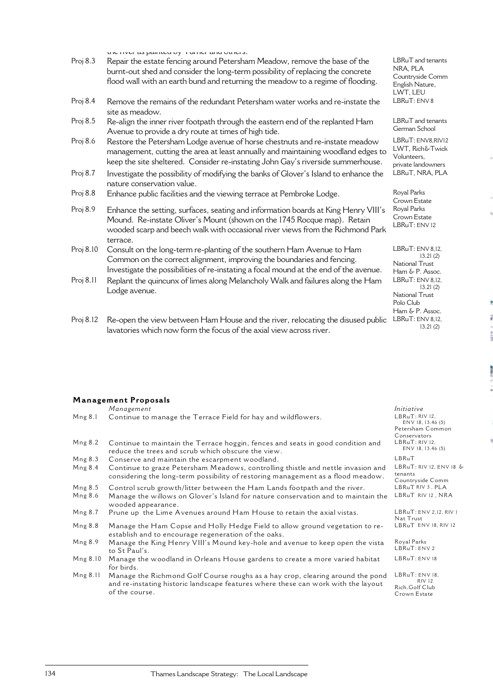the river as painted by Turner and others.

- Proj 8.3 Repair the estate fencing around Petersham Meadow, remove the base of the burnt-out shed and consider the long-term possibility of replacing the concrete flood wall with an earth bund and returning the meadow to a regime of flooding.
- Proj 8.4 Remove the remains of the redundant Petersham water works and re-instate the site as meadow.
- Proj 8.5 Re-align the inner river footpath through the eastern end of the replanted Ham Avenue to provide a dry route at times of high tide.
- Proj 8.6 Restore the Petersham Lodge avenue of horse chestnuts and re-instate meadow management, cutting the area at least annually and maintaining woodland edges to keep the site sheltered. Consider re-instating John Gay's riverside summerhouse.
- Proj 8.7 Investigate the possibility of modifying the banks of Glover's Island to enhance the nature conservation value.
- Proj 8.8 Enhance public facilities and the viewing terrace at Pembroke Lodge. Royal Parks
- Proj 8.9 Enhance the setting, surfaces, seating and information boards at King Henry VIII's Mound. Re-instate Oliver's Mount (shown on the 1745 Rocque map). Retain wooded scarp and beech walk with occasional river views from the Richmond Park terrace.
- Proj 8.10 Consult on the long-term re-planting of the southern Ham Avenue to Ham Common on the correct alignment, improving the boundaries and fencing. Investigate the possibilities of re-instating a focal mound at the end of the avenue.
- Proj 8.11 Replant the quincunx of limes along Melancholy Walk and failures along the Ham Lodge avenue.
- Proj 8.12 Re-open the view between Ham House and the river, relocating the disused public LBRuT: ENV 8,12, lavatories which now form the focus of the axial view across river.

#### **Management Proposals**

|          | ruanagement rroposais                                                                                                                                                |                                                         |
|----------|----------------------------------------------------------------------------------------------------------------------------------------------------------------------|---------------------------------------------------------|
|          | Management                                                                                                                                                           | Initiative                                              |
| Mng 8.1  | Continue to manage the Terrace Field for hay and wildflowers.                                                                                                        | LBRuT: RIV 12.<br>ENV 18, 13.46 (5)<br>Petersham Common |
|          |                                                                                                                                                                      | Conservators                                            |
| Mng 8.2  | Continue to maintain the Terrace hoggin, fences and seats in good condition and<br>reduce the trees and scrub which obscure the view.                                | LBRuT: RIV 12.<br>ENV 18, 13.46 (5)                     |
| Mng 8.3  | Conserve and maintain the escarpment woodland.                                                                                                                       | LBRuT                                                   |
| Mng 8.4  | Continue to graze Petersham Meadows, controlling thistle and nettle invasion and<br>considering the long-term possibility of restoring management as a flood meadow. | LBRuT: RIV 12, ENV 18 &<br>tenants<br>Countryside Comm  |
| Mng 8.5  | Control scrub growth/litter between the Ham Lands footpath and the river.                                                                                            | LBRuT RIV 3, PLA                                        |
| Mng 8.6  | Manage the willows on Glover's Island for nature conservation and to maintain the<br>wooded appearance.                                                              | LBRuT RIV 12, NRA                                       |
| Mng 8.7  | Prune up the Lime Avenues around Ham House to retain the axial vistas.                                                                                               | LBRuT: ENV 2.12, RIV 1<br>Nat Trust                     |
| Mng 8.8  | Manage the Ham Copse and Holly Hedge Field to allow ground vegetation to re-<br>establish and to encourage regeneration of the oaks.                                 | LBRuT ENV 18, RIV 12                                    |
| Mng 8.9  | Manage the King Henry VIII's Mound key-hole and avenue to keep open the vista<br>to St Paul's.                                                                       | Royal Parks<br>LBRuT: ENV 2                             |
| Mng 8.10 | Manage the woodland in Orleans House gardens to create a more varied habitat<br>for birds.                                                                           | LBRuT: ENV 18                                           |
| Mng 8.11 | Manage the Richmond Golf Course roughs as a hay crop, clearing around the pond<br>and re-instating historic landscape features where these can work with the layout  | LBRuT: ENV 18.<br><b>RIV 12</b><br>Rich.Golf Club       |

and re-instating historic landscape features where these can work with the layout of the course. Crown Estate

LBRuT and tenants NRA, PLA Countryside Comm English Nature, LWT, LEU LBRuT: ENV 8

LBRuT and tenants German School

LBRuT: ENV8,RIV12 LWT, Rich&Twick Volunteers, private landowners LBRuT, NRA, PLA

Crown Estate Royal Parks Crown Estate LBRuT: ENV 12

LBRuT: ENV 8,12, 13.21 (2) National Trust Ham & P. Assoc. LBRuT: ENV 8,12, 13.21 (2) National Trust Polo Club Ham & P. Assoc. 13.21 (2)